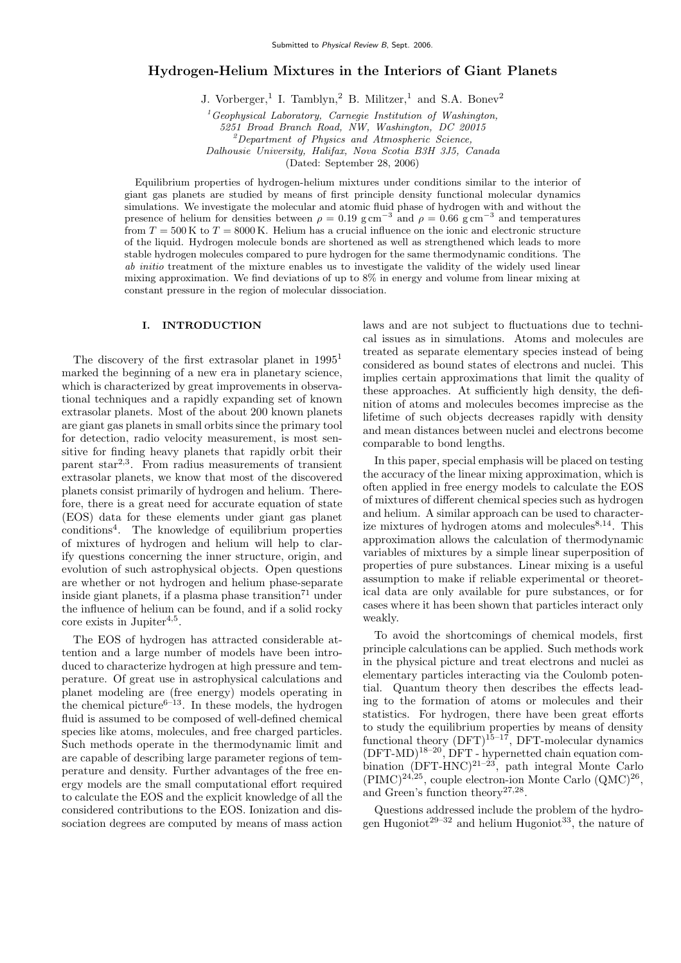# Hydrogen-Helium Mixtures in the Interiors of Giant Planets

J. Vorberger,<sup>1</sup> I. Tamblyn,<sup>2</sup> B. Militzer,<sup>1</sup> and S.A. Bonev<sup>2</sup>

 $1_G$ <sup>1</sup>Geophysical Laboratory, Carnegie Institution of Washington, 5251 Broad Branch Road, NW, Washington, DC 20015 <sup>2</sup>Department of Physics and Atmospheric Science, Dalhousie University, Halifax, Nova Scotia B3H 3J5, Canada (Dated: September 28, 2006)

Equilibrium properties of hydrogen-helium mixtures under conditions similar to the interior of giant gas planets are studied by means of first principle density functional molecular dynamics simulations. We investigate the molecular and atomic fluid phase of hydrogen with and without the presence of helium for densities between  $\rho = 0.19$  g cm<sup>-3</sup> and  $\rho = 0.66$  g cm<sup>-3</sup> and temperatures from  $T = 500 \text{ K}$  to  $T = 8000 \text{ K}$ . Helium has a crucial influence on the ionic and electronic structure of the liquid. Hydrogen molecule bonds are shortened as well as strengthened which leads to more stable hydrogen molecules compared to pure hydrogen for the same thermodynamic conditions. The ab initio treatment of the mixture enables us to investigate the validity of the widely used linear mixing approximation. We find deviations of up to 8% in energy and volume from linear mixing at constant pressure in the region of molecular dissociation.

### I. INTRODUCTION

The discovery of the first extrasolar planet in  $1995<sup>1</sup>$ marked the beginning of a new era in planetary science, which is characterized by great improvements in observational techniques and a rapidly expanding set of known extrasolar planets. Most of the about 200 known planets are giant gas planets in small orbits since the primary tool for detection, radio velocity measurement, is most sensitive for finding heavy planets that rapidly orbit their parent star2,3. From radius measurements of transient extrasolar planets, we know that most of the discovered planets consist primarily of hydrogen and helium. Therefore, there is a great need for accurate equation of state (EOS) data for these elements under giant gas planet conditions<sup>4</sup> . The knowledge of equilibrium properties of mixtures of hydrogen and helium will help to clarify questions concerning the inner structure, origin, and evolution of such astrophysical objects. Open questions are whether or not hydrogen and helium phase-separate inside giant planets, if a plasma phase transition<sup>71</sup> under the influence of helium can be found, and if a solid rocky  $\text{core exists in Jupiter}^{4,5}.$ 

The EOS of hydrogen has attracted considerable attention and a large number of models have been introduced to characterize hydrogen at high pressure and temperature. Of great use in astrophysical calculations and planet modeling are (free energy) models operating in the chemical picture<sup> $6-13$ </sup>. In these models, the hydrogen fluid is assumed to be composed of well-defined chemical species like atoms, molecules, and free charged particles. Such methods operate in the thermodynamic limit and are capable of describing large parameter regions of temperature and density. Further advantages of the free energy models are the small computational effort required to calculate the EOS and the explicit knowledge of all the considered contributions to the EOS. Ionization and dissociation degrees are computed by means of mass action laws and are not subject to fluctuations due to technical issues as in simulations. Atoms and molecules are treated as separate elementary species instead of being considered as bound states of electrons and nuclei. This implies certain approximations that limit the quality of these approaches. At sufficiently high density, the definition of atoms and molecules becomes imprecise as the lifetime of such objects decreases rapidly with density and mean distances between nuclei and electrons become comparable to bond lengths.

In this paper, special emphasis will be placed on testing the accuracy of the linear mixing approximation, which is often applied in free energy models to calculate the EOS of mixtures of different chemical species such as hydrogen and helium. A similar approach can be used to characterize mixtures of hydrogen atoms and molecules  $8,14$ . This approximation allows the calculation of thermodynamic variables of mixtures by a simple linear superposition of properties of pure substances. Linear mixing is a useful assumption to make if reliable experimental or theoretical data are only available for pure substances, or for cases where it has been shown that particles interact only weakly.

To avoid the shortcomings of chemical models, first principle calculations can be applied. Such methods work in the physical picture and treat electrons and nuclei as elementary particles interacting via the Coulomb potential. Quantum theory then describes the effects leading to the formation of atoms or molecules and their statistics. For hydrogen, there have been great efforts to study the equilibrium properties by means of density functional theory  $(DFT)^{15-17}$ , DFT-molecular dynamics  $(DFT-MD)^{18-20}$ , DFT - hypernetted chain equation combination  $(DFT-HNC)^{21-23}$ , path integral Monte Carlo  $(PIMC)^{24,25}$ , couple electron-ion Monte Carlo  $(QMC)^{26}$ , and Green's function theory<sup>27,28</sup>.

Questions addressed include the problem of the hydrogen Hugoniot<sup>29–32</sup> and helium Hugoniot<sup>33</sup>, the nature of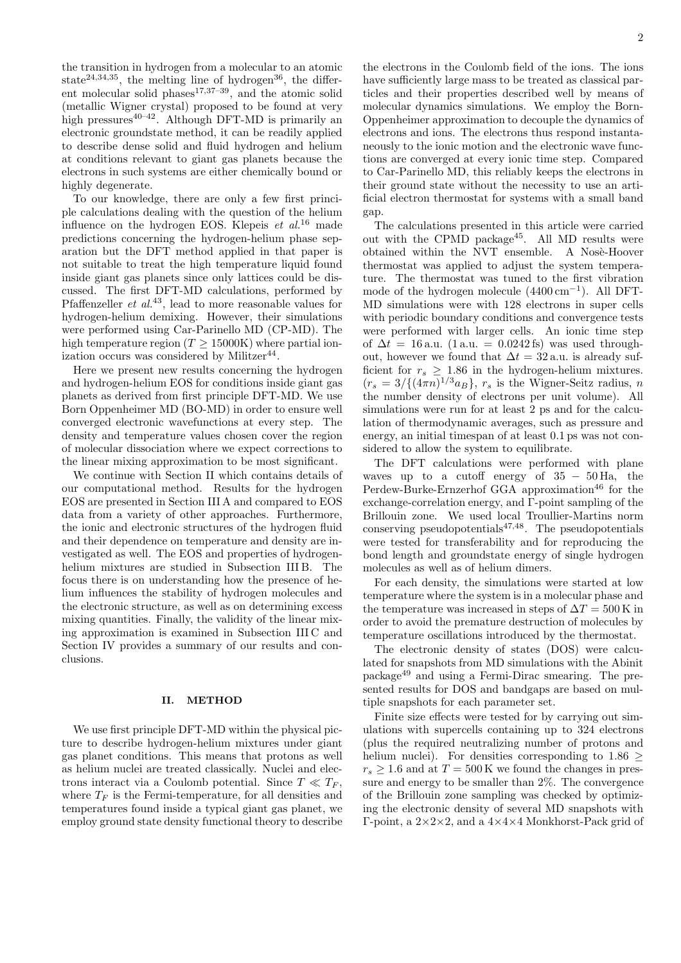the transition in hydrogen from a molecular to an atomic state<sup>24,34,35</sup>, the melting line of hydrogen<sup>36</sup>, the different molecular solid phases $17,37-39$ , and the atomic solid (metallic Wigner crystal) proposed to be found at very high pressures $40-42$ . Although DFT-MD is primarily an electronic groundstate method, it can be readily applied to describe dense solid and fluid hydrogen and helium at conditions relevant to giant gas planets because the electrons in such systems are either chemically bound or highly degenerate.

To our knowledge, there are only a few first principle calculations dealing with the question of the helium influence on the hydrogen EOS. Klepeis  $et \ al^{16}$  made predictions concerning the hydrogen-helium phase separation but the DFT method applied in that paper is not suitable to treat the high temperature liquid found inside giant gas planets since only lattices could be discussed. The first DFT-MD calculations, performed by Pfaffenzeller  $et \ al.<sup>43</sup>$ , lead to more reasonable values for hydrogen-helium demixing. However, their simulations were performed using Car-Parinello MD (CP-MD). The high temperature region  $(T > 15000K)$  where partial ionization occurs was considered by Militzer<sup>44</sup>.

Here we present new results concerning the hydrogen and hydrogen-helium EOS for conditions inside giant gas planets as derived from first principle DFT-MD. We use Born Oppenheimer MD (BO-MD) in order to ensure well converged electronic wavefunctions at every step. The density and temperature values chosen cover the region of molecular dissociation where we expect corrections to the linear mixing approximation to be most significant.

We continue with Section II which contains details of our computational method. Results for the hydrogen EOS are presented in Section III A and compared to EOS data from a variety of other approaches. Furthermore, the ionic and electronic structures of the hydrogen fluid and their dependence on temperature and density are investigated as well. The EOS and properties of hydrogenhelium mixtures are studied in Subsection III B. The focus there is on understanding how the presence of helium influences the stability of hydrogen molecules and the electronic structure, as well as on determining excess mixing quantities. Finally, the validity of the linear mixing approximation is examined in Subsection III C and Section IV provides a summary of our results and conclusions.

### II. METHOD

We use first principle DFT-MD within the physical picture to describe hydrogen-helium mixtures under giant gas planet conditions. This means that protons as well as helium nuclei are treated classically. Nuclei and electrons interact via a Coulomb potential. Since  $T \ll T_F$ , where  $T_F$  is the Fermi-temperature, for all densities and temperatures found inside a typical giant gas planet, we employ ground state density functional theory to describe the electrons in the Coulomb field of the ions. The ions have sufficiently large mass to be treated as classical particles and their properties described well by means of molecular dynamics simulations. We employ the Born-Oppenheimer approximation to decouple the dynamics of electrons and ions. The electrons thus respond instantaneously to the ionic motion and the electronic wave functions are converged at every ionic time step. Compared to Car-Parinello MD, this reliably keeps the electrons in their ground state without the necessity to use an artificial electron thermostat for systems with a small band gap.

The calculations presented in this article were carried out with the CPMD package45. All MD results were obtained within the NVT ensemble. A Nosè-Hoover thermostat was applied to adjust the system temperature. The thermostat was tuned to the first vibration mode of the hydrogen molecule (4400 cm−<sup>1</sup> ). All DFT-MD simulations were with 128 electrons in super cells with periodic boundary conditions and convergence tests were performed with larger cells. An ionic time step of  $\Delta t = 16$  a.u. (1 a.u. = 0.0242 fs) was used throughout, however we found that  $\Delta t = 32$  a.u. is already sufficient for  $r_s \geq 1.86$  in the hydrogen-helium mixtures.  $(r_s = 3/((4\pi n)^{1/3}a_B)$ ,  $r_s$  is the Wigner-Seitz radius, n the number density of electrons per unit volume). All simulations were run for at least 2 ps and for the calculation of thermodynamic averages, such as pressure and energy, an initial timespan of at least 0.1 ps was not considered to allow the system to equilibrate.

The DFT calculations were performed with plane waves up to a cutoff energy of  $35 - 50$  Ha, the Perdew-Burke-Ernzerhof GGA approximation<sup>46</sup> for the exchange-correlation energy, and Γ-point sampling of the Brillouin zone. We used local Troullier-Martins norm conserving pseudopotentials $47,48$ . The pseudopotentials were tested for transferability and for reproducing the bond length and groundstate energy of single hydrogen molecules as well as of helium dimers.

For each density, the simulations were started at low temperature where the system is in a molecular phase and the temperature was increased in steps of  $\Delta T = 500 \,\mathrm{K}$  in order to avoid the premature destruction of molecules by temperature oscillations introduced by the thermostat.

The electronic density of states (DOS) were calculated for snapshots from MD simulations with the Abinit package<sup>49</sup> and using a Fermi-Dirac smearing. The presented results for DOS and bandgaps are based on multiple snapshots for each parameter set.

Finite size effects were tested for by carrying out simulations with supercells containing up to 324 electrons (plus the required neutralizing number of protons and helium nuclei). For densities corresponding to  $1.86 \ge$  $r_s \geq 1.6$  and at  $T = 500$  K we found the changes in pressure and energy to be smaller than 2%. The convergence of the Brillouin zone sampling was checked by optimizing the electronic density of several MD snapshots with Γ-point, a 2×2×2, and a 4×4×4 Monkhorst-Pack grid of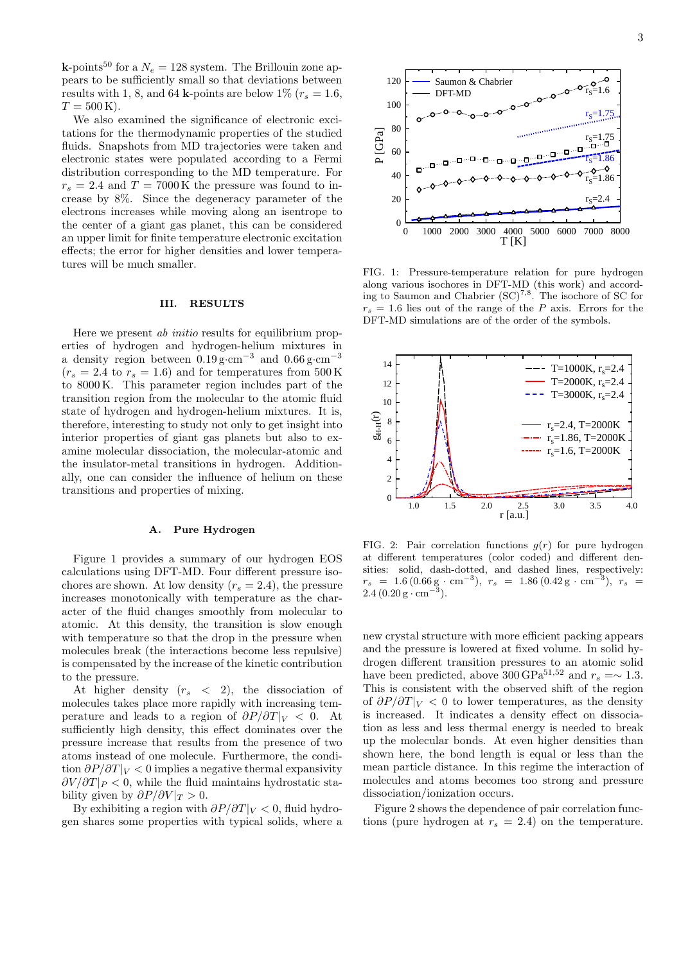**k**-points<sup>50</sup> for a  $N_e = 128$  system. The Brillouin zone appears to be sufficiently small so that deviations between results with 1, 8, and 64 k-points are below 1% ( $r_s = 1.6$ ,  $T = 500$  K).

We also examined the significance of electronic excitations for the thermodynamic properties of the studied fluids. Snapshots from MD trajectories were taken and electronic states were populated according to a Fermi distribution corresponding to the MD temperature. For  $r_s = 2.4$  and  $T = 7000 \,\mathrm{K}$  the pressure was found to increase by 8%. Since the degeneracy parameter of the electrons increases while moving along an isentrope to the center of a giant gas planet, this can be considered an upper limit for finite temperature electronic excitation effects; the error for higher densities and lower temperatures will be much smaller.

#### III. RESULTS

Here we present ab initio results for equilibrium properties of hydrogen and hydrogen-helium mixtures in a density region between  $0.19 \text{ g} \cdot \text{cm}^{-3}$  and  $0.66 \text{ g} \cdot \text{cm}^{-3}$  $(r_s = 2.4 \text{ to } r_s = 1.6)$  and for temperatures from 500 K to 8000 K. This parameter region includes part of the transition region from the molecular to the atomic fluid state of hydrogen and hydrogen-helium mixtures. It is, therefore, interesting to study not only to get insight into interior properties of giant gas planets but also to examine molecular dissociation, the molecular-atomic and the insulator-metal transitions in hydrogen. Additionally, one can consider the influence of helium on these transitions and properties of mixing.

## A. Pure Hydrogen

Figure 1 provides a summary of our hydrogen EOS calculations using DFT-MD. Four different pressure isochores are shown. At low density  $(r_s = 2.4)$ , the pressure increases monotonically with temperature as the character of the fluid changes smoothly from molecular to atomic. At this density, the transition is slow enough with temperature so that the drop in the pressure when molecules break (the interactions become less repulsive) is compensated by the increase of the kinetic contribution to the pressure.

At higher density  $(r_s < 2)$ , the dissociation of molecules takes place more rapidly with increasing temperature and leads to a region of  $\partial P/\partial T|_V < 0$ . At sufficiently high density, this effect dominates over the pressure increase that results from the presence of two atoms instead of one molecule. Furthermore, the condition  $\partial P/\partial T|_V < 0$  implies a negative thermal expansivity  $\partial V/\partial T|_P < 0$ , while the fluid maintains hydrostatic stability given by  $\partial P/\partial V|_{T} > 0$ .

By exhibiting a region with  $\partial P/\partial T|_V < 0$ , fluid hydrogen shares some properties with typical solids, where a



FIG. 1: Pressure-temperature relation for pure hydrogen along various isochores in DFT-MD (this work) and according to Saumon and Chabrier  $({\rm SC})^{7,8}$ . The isochore of SC for  $r_s = 1.6$  lies out of the range of the P axis. Errors for the DFT-MD simulations are of the order of the symbols.



FIG. 2: Pair correlation functions  $q(r)$  for pure hydrogen at different temperatures (color coded) and different densities: solid, dash-dotted, and dashed lines, respectively:  $r_s = 1.6 (0.66 g \cdot cm^{-3}), \ r_s = 1.86 (0.42 g \cdot cm^{-3}), \ r_s = 2.4 (0.20 g \cdot cm^{-3}).$ 

new crystal structure with more efficient packing appears and the pressure is lowered at fixed volume. In solid hydrogen different transition pressures to an atomic solid have been predicted, above 300 GPa<sup>51,52</sup> and  $r_s =∼ 1.3.$ This is consistent with the observed shift of the region of  $\partial P/\partial T|_V < 0$  to lower temperatures, as the density is increased. It indicates a density effect on dissociation as less and less thermal energy is needed to break up the molecular bonds. At even higher densities than shown here, the bond length is equal or less than the mean particle distance. In this regime the interaction of molecules and atoms becomes too strong and pressure dissociation/ionization occurs.

Figure 2 shows the dependence of pair correlation functions (pure hydrogen at  $r_s = 2.4$ ) on the temperature.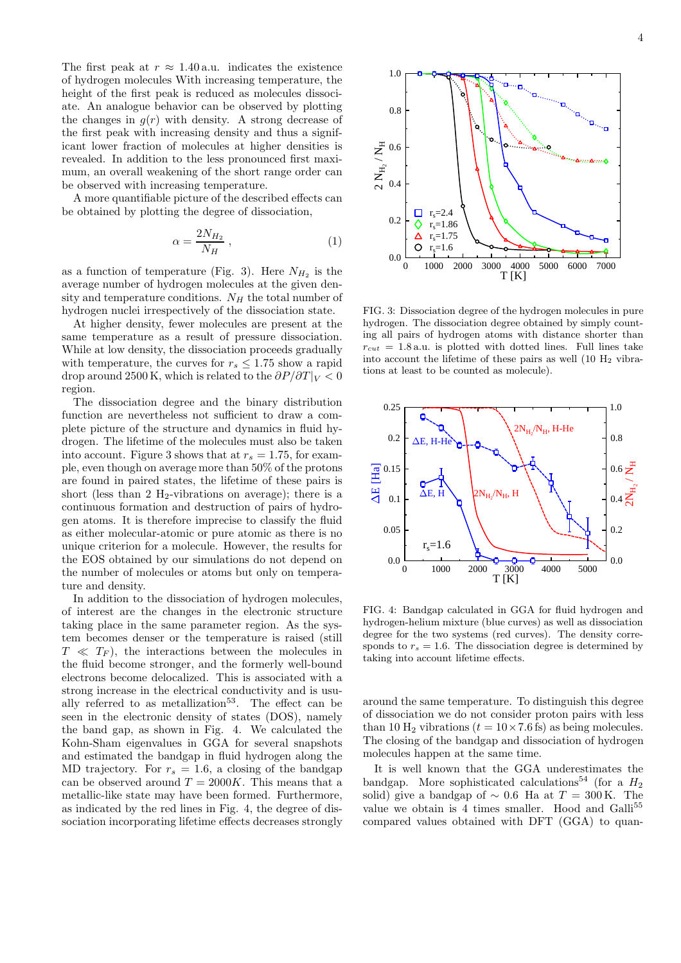The first peak at  $r \approx 1.40$  a.u. indicates the existence of hydrogen molecules With increasing temperature, the height of the first peak is reduced as molecules dissociate. An analogue behavior can be observed by plotting the changes in  $g(r)$  with density. A strong decrease of the first peak with increasing density and thus a significant lower fraction of molecules at higher densities is revealed. In addition to the less pronounced first maximum, an overall weakening of the short range order can be observed with increasing temperature.

A more quantifiable picture of the described effects can be obtained by plotting the degree of dissociation,

$$
\alpha = \frac{2N_{H_2}}{N_H} \,,\tag{1}
$$

as a function of temperature (Fig. 3). Here  $N_{H_2}$  is the average number of hydrogen molecules at the given density and temperature conditions.  $N_H$  the total number of hydrogen nuclei irrespectively of the dissociation state.

At higher density, fewer molecules are present at the same temperature as a result of pressure dissociation. While at low density, the dissociation proceeds gradually with temperature, the curves for  $r_s \leq 1.75$  show a rapid drop around 2500 K, which is related to the  $\partial P/\partial T|_V < 0$ region.

The dissociation degree and the binary distribution function are nevertheless not sufficient to draw a complete picture of the structure and dynamics in fluid hydrogen. The lifetime of the molecules must also be taken into account. Figure 3 shows that at  $r_s = 1.75$ , for example, even though on average more than 50% of the protons are found in paired states, the lifetime of these pairs is short (less than 2  $H_2$ -vibrations on average); there is a continuous formation and destruction of pairs of hydrogen atoms. It is therefore imprecise to classify the fluid as either molecular-atomic or pure atomic as there is no unique criterion for a molecule. However, the results for the EOS obtained by our simulations do not depend on the number of molecules or atoms but only on temperature and density.

In addition to the dissociation of hydrogen molecules, of interest are the changes in the electronic structure taking place in the same parameter region. As the system becomes denser or the temperature is raised (still  $T \ll T_F$ , the interactions between the molecules in the fluid become stronger, and the formerly well-bound electrons become delocalized. This is associated with a strong increase in the electrical conductivity and is usually referred to as metallization<sup>53</sup>. The effect can be seen in the electronic density of states (DOS), namely the band gap, as shown in Fig. 4. We calculated the Kohn-Sham eigenvalues in GGA for several snapshots and estimated the bandgap in fluid hydrogen along the MD trajectory. For  $r_s = 1.6$ , a closing of the bandgap can be observed around  $T = 2000K$ . This means that a metallic-like state may have been formed. Furthermore, as indicated by the red lines in Fig. 4, the degree of dissociation incorporating lifetime effects decreases strongly



FIG. 3: Dissociation degree of the hydrogen molecules in pure hydrogen. The dissociation degree obtained by simply counting all pairs of hydrogen atoms with distance shorter than  $r_{cut}$  = 1.8 a.u. is plotted with dotted lines. Full lines take into account the lifetime of these pairs as well  $(10 H<sub>2</sub>$  vibrations at least to be counted as molecule).



FIG. 4: Bandgap calculated in GGA for fluid hydrogen and hydrogen-helium mixture (blue curves) as well as dissociation degree for the two systems (red curves). The density corresponds to  $r_s = 1.6$ . The dissociation degree is determined by taking into account lifetime effects.

around the same temperature. To distinguish this degree of dissociation we do not consider proton pairs with less than 10 H<sub>2</sub> vibrations ( $t = 10 \times 7.6$  fs) as being molecules. The closing of the bandgap and dissociation of hydrogen molecules happen at the same time.

It is well known that the GGA underestimates the bandgap. More sophisticated calculations<sup>54</sup> (for a  $H_2$ ) solid) give a bandgap of  $\sim 0.6$  Ha at  $T = 300$  K. The value we obtain is 4 times smaller. Hood and Galli<sup>55</sup> compared values obtained with DFT (GGA) to quan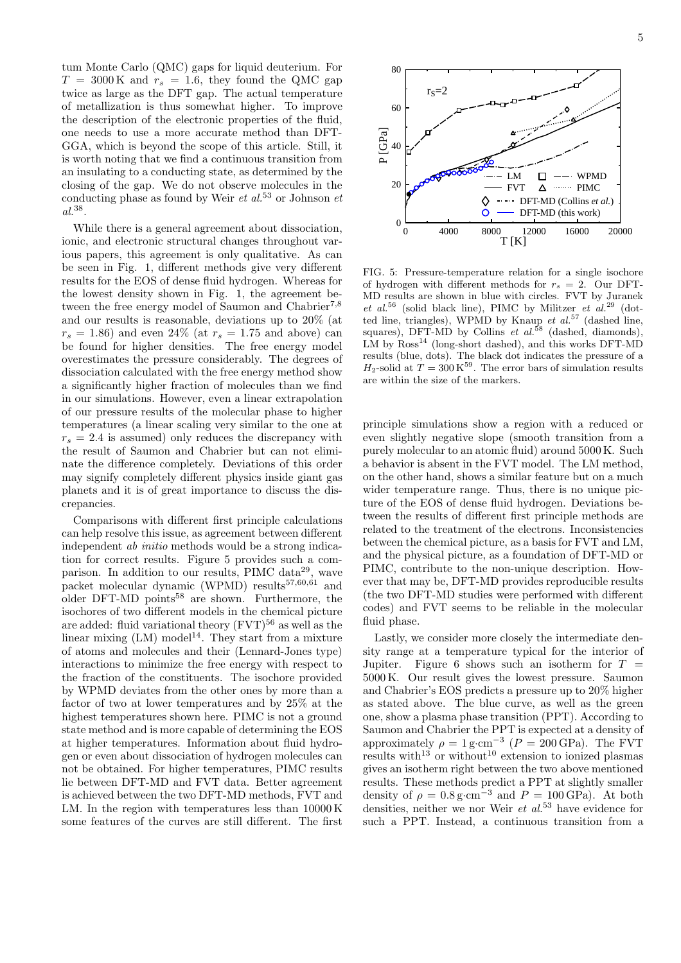tum Monte Carlo (QMC) gaps for liquid deuterium. For  $T = 3000 \text{ K}$  and  $r_s = 1.6$ , they found the QMC gap twice as large as the DFT gap. The actual temperature of metallization is thus somewhat higher. To improve the description of the electronic properties of the fluid, one needs to use a more accurate method than DFT-GGA, which is beyond the scope of this article. Still, it is worth noting that we find a continuous transition from an insulating to a conducting state, as determined by the closing of the gap. We do not observe molecules in the conducting phase as found by Weir *et al.*<sup>53</sup> or Johnson *et* al.38 .

While there is a general agreement about dissociation, ionic, and electronic structural changes throughout various papers, this agreement is only qualitative. As can be seen in Fig. 1, different methods give very different results for the EOS of dense fluid hydrogen. Whereas for the lowest density shown in Fig. 1, the agreement between the free energy model of Saumon and Chabrier<sup>7,8</sup> and our results is reasonable, deviations up to 20% (at  $r_s = 1.86$ ) and even  $24\%$  (at  $r_s = 1.75$  and above) can be found for higher densities. The free energy model overestimates the pressure considerably. The degrees of dissociation calculated with the free energy method show a significantly higher fraction of molecules than we find in our simulations. However, even a linear extrapolation of our pressure results of the molecular phase to higher temperatures (a linear scaling very similar to the one at  $r_s = 2.4$  is assumed) only reduces the discrepancy with the result of Saumon and Chabrier but can not eliminate the difference completely. Deviations of this order may signify completely different physics inside giant gas planets and it is of great importance to discuss the discrepancies.

Comparisons with different first principle calculations can help resolve this issue, as agreement between different independent ab initio methods would be a strong indication for correct results. Figure 5 provides such a comparison. In addition to our results, PIMC data<sup>29</sup>, wave packet molecular dynamic (WPMD) results<sup>57,60,61</sup> and older DFT-MD points<sup>58</sup> are shown. Furthermore, the isochores of two different models in the chemical picture are added: fluid variational theory  $(FVT)^{56}$  as well as the linear mixing  $(LM) \text{ model}^{14}$ . They start from a mixture of atoms and molecules and their (Lennard-Jones type) interactions to minimize the free energy with respect to the fraction of the constituents. The isochore provided by WPMD deviates from the other ones by more than a factor of two at lower temperatures and by 25% at the highest temperatures shown here. PIMC is not a ground state method and is more capable of determining the EOS at higher temperatures. Information about fluid hydrogen or even about dissociation of hydrogen molecules can not be obtained. For higher temperatures, PIMC results lie between DFT-MD and FVT data. Better agreement is achieved between the two DFT-MD methods, FVT and LM. In the region with temperatures less than 10000 K some features of the curves are still different. The first



5



80

FIG. 5: Pressure-temperature relation for a single isochore of hydrogen with different methods for  $r_s = 2$ . Our DFT-MD results are shown in blue with circles. FVT by Juranek et al.<sup>56</sup> (solid black line), PIMC by Militzer et al.<sup>29</sup> (dotted line, triangles), WPMD by Knaup et  $al$ .<sup>57</sup> (dashed line, squares), DFT-MD by Collins et  $al.^{58}$  (dashed, diamonds),  $LM$  by  $Ross^{14}$  (long-short dashed), and this works DFT-MD results (blue, dots). The black dot indicates the pressure of a  $H_2$ -solid at  $T = 300 \text{ K}^{59}$ . The error bars of simulation results are within the size of the markers.

principle simulations show a region with a reduced or even slightly negative slope (smooth transition from a purely molecular to an atomic fluid) around 5000 K. Such a behavior is absent in the FVT model. The LM method, on the other hand, shows a similar feature but on a much wider temperature range. Thus, there is no unique picture of the EOS of dense fluid hydrogen. Deviations between the results of different first principle methods are related to the treatment of the electrons. Inconsistencies between the chemical picture, as a basis for FVT and LM, and the physical picture, as a foundation of DFT-MD or PIMC, contribute to the non-unique description. However that may be, DFT-MD provides reproducible results (the two DFT-MD studies were performed with different codes) and FVT seems to be reliable in the molecular fluid phase.

Lastly, we consider more closely the intermediate density range at a temperature typical for the interior of Jupiter. Figure 6 shows such an isotherm for  $T =$ 5000 K. Our result gives the lowest pressure. Saumon and Chabrier's EOS predicts a pressure up to 20% higher as stated above. The blue curve, as well as the green one, show a plasma phase transition (PPT). According to Saumon and Chabrier the PPT is expected at a density of approximately  $\rho = 1 \text{ g} \cdot \text{cm}^{-3}$  ( $P = 200 \text{ GPa}$ ). The FVT results with<sup>13</sup> or without<sup>10</sup> extension to ionized plasmas gives an isotherm right between the two above mentioned results. These methods predict a PPT at slightly smaller density of  $\rho = 0.8 \text{ g} \cdot \text{cm}^{-3}$  and  $P = 100 \text{ GPa}$ ). At both densities, neither we nor Weir et  $al$ ,  $53$  have evidence for such a PPT. Instead, a continuous transition from a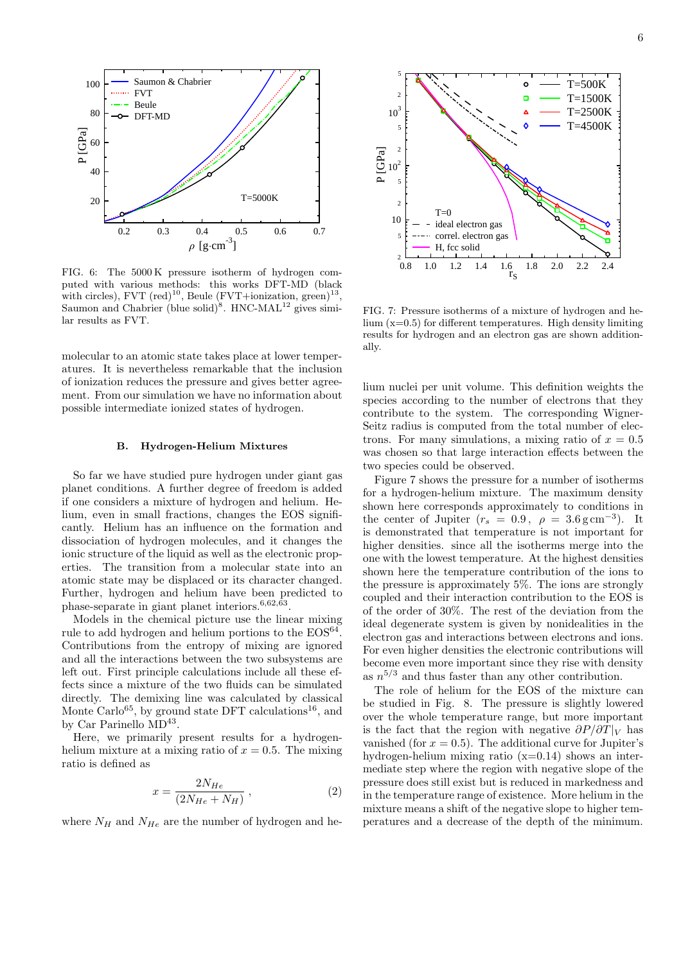

FIG. 6: The 5000 K pressure isotherm of hydrogen computed with various methods: this works DFT-MD (black with circles),  $FVT$  (red)<sup>10</sup>, Beule ( $FVT + ionization$ , green)<sup>13</sup>, Saumon and Chabrier (blue solid)<sup>8</sup>. HNC-MAL<sup>12</sup> gives similar results as FVT.

molecular to an atomic state takes place at lower temperatures. It is nevertheless remarkable that the inclusion of ionization reduces the pressure and gives better agreement. From our simulation we have no information about possible intermediate ionized states of hydrogen.

#### B. Hydrogen-Helium Mixtures

So far we have studied pure hydrogen under giant gas planet conditions. A further degree of freedom is added if one considers a mixture of hydrogen and helium. Helium, even in small fractions, changes the EOS significantly. Helium has an influence on the formation and dissociation of hydrogen molecules, and it changes the ionic structure of the liquid as well as the electronic properties. The transition from a molecular state into an atomic state may be displaced or its character changed. Further, hydrogen and helium have been predicted to phase-separate in giant planet interiors.<sup>6,62,63</sup>.

Models in the chemical picture use the linear mixing rule to add hydrogen and helium portions to the  $EOS^{64}$ . Contributions from the entropy of mixing are ignored and all the interactions between the two subsystems are left out. First principle calculations include all these effects since a mixture of the two fluids can be simulated directly. The demixing line was calculated by classical Monte Carlo<sup>65</sup>, by ground state DFT calculations<sup>16</sup>, and by Car Parinello MD<sup>43</sup>.

Here, we primarily present results for a hydrogenhelium mixture at a mixing ratio of  $x = 0.5$ . The mixing ratio is defined as

$$
x = \frac{2N_{He}}{(2N_{He} + N_H)},
$$
\n<sup>(2)</sup>

where  $N_H$  and  $N_{He}$  are the number of hydrogen and he-



FIG. 7: Pressure isotherms of a mixture of hydrogen and helium  $(x=0.5)$  for different temperatures. High density limiting results for hydrogen and an electron gas are shown additionally.

lium nuclei per unit volume. This definition weights the species according to the number of electrons that they contribute to the system. The corresponding Wigner-Seitz radius is computed from the total number of electrons. For many simulations, a mixing ratio of  $x = 0.5$ was chosen so that large interaction effects between the two species could be observed.

Figure 7 shows the pressure for a number of isotherms for a hydrogen-helium mixture. The maximum density shown here corresponds approximately to conditions in the center of Jupiter  $(r_s = 0.9, \rho = 3.6 \,\text{g}\,\text{cm}^{-3})$ . It is demonstrated that temperature is not important for higher densities. since all the isotherms merge into the one with the lowest temperature. At the highest densities shown here the temperature contribution of the ions to the pressure is approximately 5%. The ions are strongly coupled and their interaction contribution to the EOS is of the order of 30%. The rest of the deviation from the ideal degenerate system is given by nonidealities in the electron gas and interactions between electrons and ions. For even higher densities the electronic contributions will become even more important since they rise with density as  $n^{5/3}$  and thus faster than any other contribution.

The role of helium for the EOS of the mixture can be studied in Fig. 8. The pressure is slightly lowered over the whole temperature range, but more important is the fact that the region with negative  $\partial P/\partial T|_V$  has vanished (for  $x = 0.5$ ). The additional curve for Jupiter's hydrogen-helium mixing ratio  $(x=0.14)$  shows an intermediate step where the region with negative slope of the pressure does still exist but is reduced in markedness and in the temperature range of existence. More helium in the mixture means a shift of the negative slope to higher temperatures and a decrease of the depth of the minimum.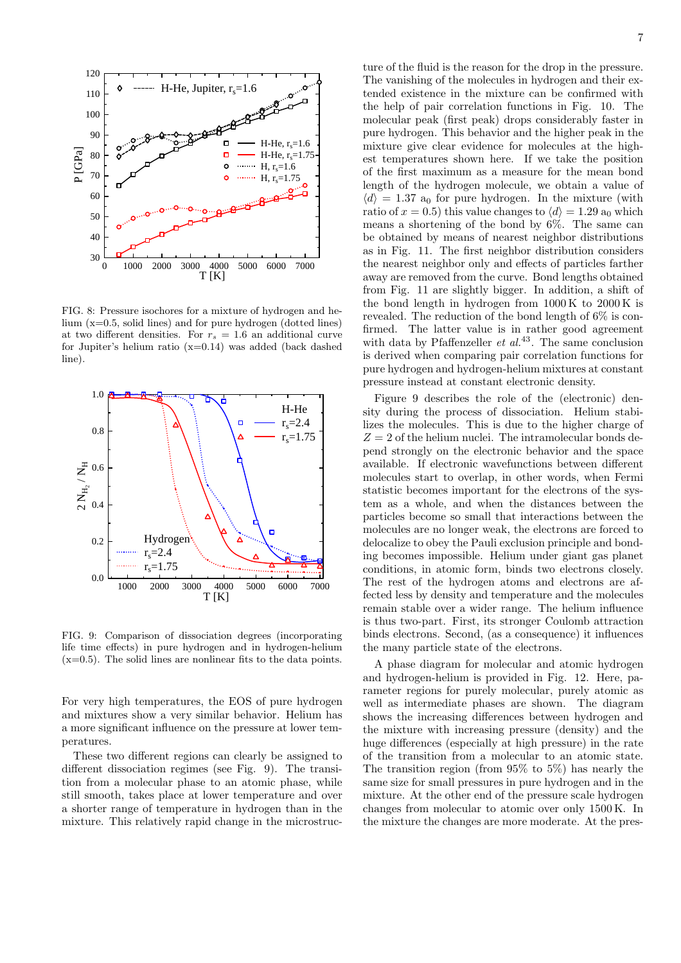

FIG. 8: Pressure isochores for a mixture of hydrogen and helium (x=0.5, solid lines) and for pure hydrogen (dotted lines) at two different densities. For  $r_s = 1.6$  an additional curve for Jupiter's helium ratio  $(x=0.14)$  was added (back dashed line).



FIG. 9: Comparison of dissociation degrees (incorporating life time effects) in pure hydrogen and in hydrogen-helium (x=0.5). The solid lines are nonlinear fits to the data points.

For very high temperatures, the EOS of pure hydrogen and mixtures show a very similar behavior. Helium has a more significant influence on the pressure at lower temperatures.

These two different regions can clearly be assigned to different dissociation regimes (see Fig. 9). The transition from a molecular phase to an atomic phase, while still smooth, takes place at lower temperature and over a shorter range of temperature in hydrogen than in the mixture. This relatively rapid change in the microstructure of the fluid is the reason for the drop in the pressure. The vanishing of the molecules in hydrogen and their extended existence in the mixture can be confirmed with the help of pair correlation functions in Fig. 10. The molecular peak (first peak) drops considerably faster in pure hydrogen. This behavior and the higher peak in the mixture give clear evidence for molecules at the highest temperatures shown here. If we take the position of the first maximum as a measure for the mean bond length of the hydrogen molecule, we obtain a value of  $\langle d \rangle = 1.37$  a<sub>0</sub> for pure hydrogen. In the mixture (with ratio of  $x = 0.5$ ) this value changes to  $\langle d \rangle = 1.29$  a<sub>0</sub> which means a shortening of the bond by  $6\%$ . The same can be obtained by means of nearest neighbor distributions as in Fig. 11. The first neighbor distribution considers the nearest neighbor only and effects of particles farther away are removed from the curve. Bond lengths obtained from Fig. 11 are slightly bigger. In addition, a shift of the bond length in hydrogen from 1000 K to 2000 K is revealed. The reduction of the bond length of 6% is confirmed. The latter value is in rather good agreement with data by Pfaffenzeller et  $al^{43}$ . The same conclusion is derived when comparing pair correlation functions for pure hydrogen and hydrogen-helium mixtures at constant pressure instead at constant electronic density.

Figure 9 describes the role of the (electronic) density during the process of dissociation. Helium stabilizes the molecules. This is due to the higher charge of  $Z = 2$  of the helium nuclei. The intramolecular bonds depend strongly on the electronic behavior and the space available. If electronic wavefunctions between different molecules start to overlap, in other words, when Fermi statistic becomes important for the electrons of the system as a whole, and when the distances between the particles become so small that interactions between the molecules are no longer weak, the electrons are forced to delocalize to obey the Pauli exclusion principle and bonding becomes impossible. Helium under giant gas planet conditions, in atomic form, binds two electrons closely. The rest of the hydrogen atoms and electrons are affected less by density and temperature and the molecules remain stable over a wider range. The helium influence is thus two-part. First, its stronger Coulomb attraction binds electrons. Second, (as a consequence) it influences the many particle state of the electrons.

A phase diagram for molecular and atomic hydrogen and hydrogen-helium is provided in Fig. 12. Here, parameter regions for purely molecular, purely atomic as well as intermediate phases are shown. The diagram shows the increasing differences between hydrogen and the mixture with increasing pressure (density) and the huge differences (especially at high pressure) in the rate of the transition from a molecular to an atomic state. The transition region (from 95% to 5%) has nearly the same size for small pressures in pure hydrogen and in the mixture. At the other end of the pressure scale hydrogen changes from molecular to atomic over only 1500 K. In the mixture the changes are more moderate. At the pres-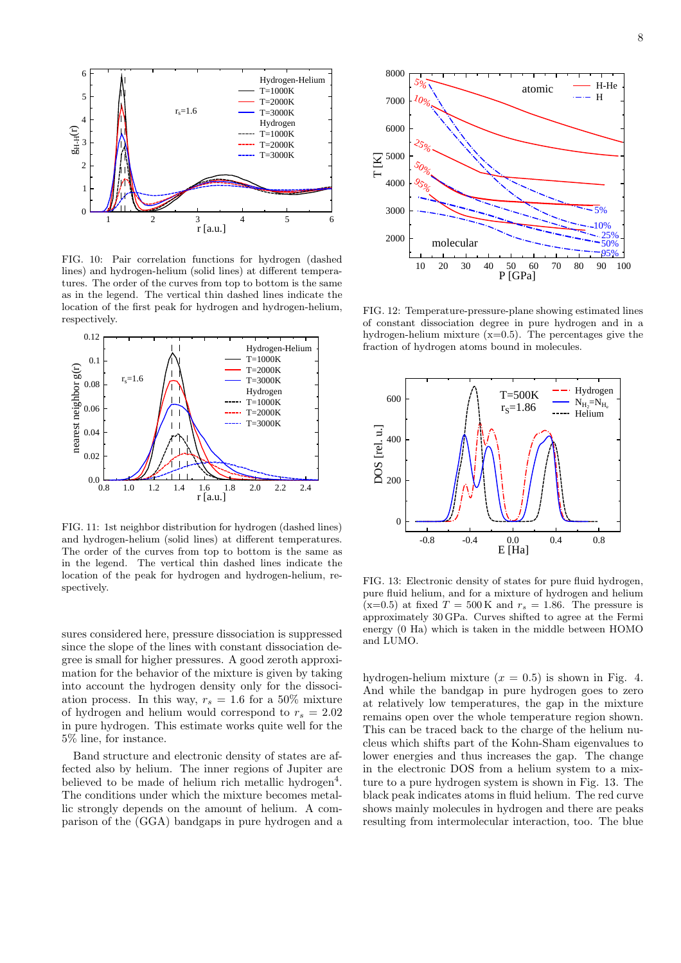

FIG. 10: Pair correlation functions for hydrogen (dashed lines) and hydrogen-helium (solid lines) at different temperatures. The order of the curves from top to bottom is the same as in the legend. The vertical thin dashed lines indicate the location of the first peak for hydrogen and hydrogen-helium, respectively.



FIG. 11: 1st neighbor distribution for hydrogen (dashed lines) and hydrogen-helium (solid lines) at different temperatures. The order of the curves from top to bottom is the same as in the legend. The vertical thin dashed lines indicate the location of the peak for hydrogen and hydrogen-helium, respectively.

sures considered here, pressure dissociation is suppressed since the slope of the lines with constant dissociation degree is small for higher pressures. A good zeroth approximation for the behavior of the mixture is given by taking into account the hydrogen density only for the dissociation process. In this way,  $r_s = 1.6$  for a 50% mixture of hydrogen and helium would correspond to  $r_s = 2.02$ in pure hydrogen. This estimate works quite well for the 5% line, for instance.

Band structure and electronic density of states are affected also by helium. The inner regions of Jupiter are believed to be made of helium rich metallic hydrogen<sup>4</sup>. The conditions under which the mixture becomes metallic strongly depends on the amount of helium. A comparison of the (GGA) bandgaps in pure hydrogen and a



FIG. 12: Temperature-pressure-plane showing estimated lines of constant dissociation degree in pure hydrogen and in a hydrogen-helium mixture  $(x=0.5)$ . The percentages give the fraction of hydrogen atoms bound in molecules.



FIG. 13: Electronic density of states for pure fluid hydrogen, pure fluid helium, and for a mixture of hydrogen and helium  $(x=0.5)$  at fixed  $T = 500 \text{ K}$  and  $r_s = 1.86$ . The pressure is approximately 30 GPa. Curves shifted to agree at the Fermi energy (0 Ha) which is taken in the middle between HOMO and LUMO.

hydrogen-helium mixture  $(x = 0.5)$  is shown in Fig. 4. And while the bandgap in pure hydrogen goes to zero at relatively low temperatures, the gap in the mixture remains open over the whole temperature region shown. This can be traced back to the charge of the helium nucleus which shifts part of the Kohn-Sham eigenvalues to lower energies and thus increases the gap. The change in the electronic DOS from a helium system to a mixture to a pure hydrogen system is shown in Fig. 13. The black peak indicates atoms in fluid helium. The red curve shows mainly molecules in hydrogen and there are peaks resulting from intermolecular interaction, too. The blue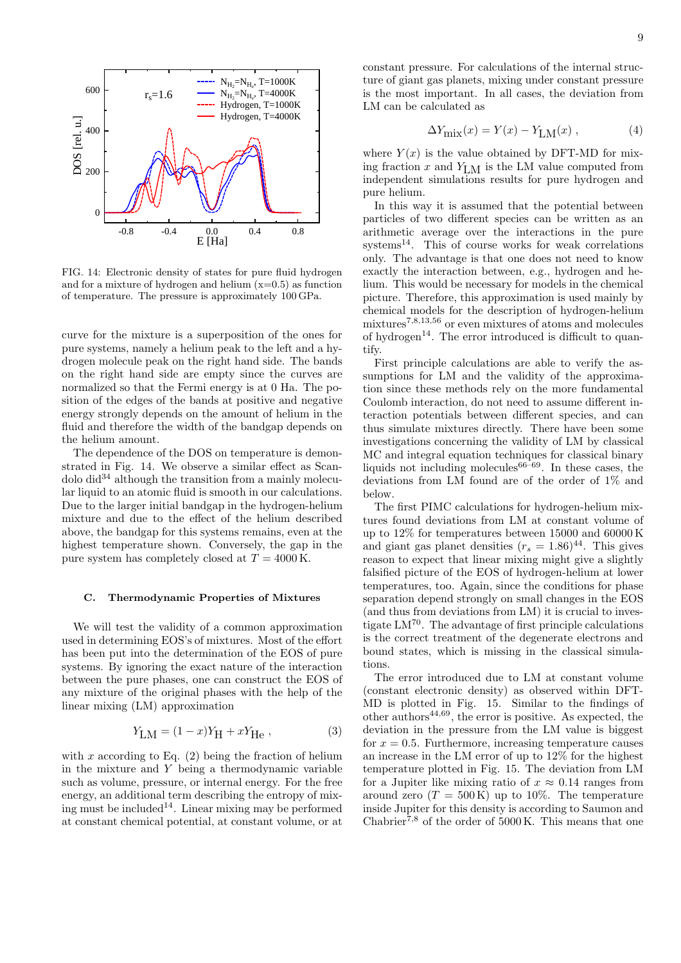

FIG. 14: Electronic density of states for pure fluid hydrogen and for a mixture of hydrogen and helium  $(x=0.5)$  as function of temperature. The pressure is approximately 100 GPa.

curve for the mixture is a superposition of the ones for pure systems, namely a helium peak to the left and a hydrogen molecule peak on the right hand side. The bands on the right hand side are empty since the curves are normalized so that the Fermi energy is at 0 Ha. The position of the edges of the bands at positive and negative energy strongly depends on the amount of helium in the fluid and therefore the width of the bandgap depends on the helium amount.

The dependence of the DOS on temperature is demonstrated in Fig. 14. We observe a similar effect as Scan- $\delta$  dolo did<sup>34</sup> although the transition from a mainly molecular liquid to an atomic fluid is smooth in our calculations. Due to the larger initial bandgap in the hydrogen-helium mixture and due to the effect of the helium described above, the bandgap for this systems remains, even at the highest temperature shown. Conversely, the gap in the pure system has completely closed at  $T = 4000$  K.

#### C. Thermodynamic Properties of Mixtures

We will test the validity of a common approximation used in determining EOS's of mixtures. Most of the effort has been put into the determination of the EOS of pure systems. By ignoring the exact nature of the interaction between the pure phases, one can construct the EOS of any mixture of the original phases with the help of the linear mixing (LM) approximation

$$
Y_{\text{LM}} = (1 - x)Y_{\text{H}} + xY_{\text{He}} , \qquad (3)
$$

with  $x$  according to Eq.  $(2)$  being the fraction of helium in the mixture and Y being a thermodynamic variable such as volume, pressure, or internal energy. For the free energy, an additional term describing the entropy of mixing must be included<sup>14</sup>. Linear mixing may be performed at constant chemical potential, at constant volume, or at constant pressure. For calculations of the internal structure of giant gas planets, mixing under constant pressure is the most important. In all cases, the deviation from LM can be calculated as

$$
\Delta Y_{\text{mix}}(x) = Y(x) - Y_{\text{LM}}(x) , \qquad (4)
$$

where  $Y(x)$  is the value obtained by DFT-MD for mixing fraction  $x$  and  $Y_{LM}$  is the LM value computed from independent simulations results for pure hydrogen and pure helium.

In this way it is assumed that the potential between particles of two different species can be written as an arithmetic average over the interactions in the pure systems14. This of course works for weak correlations only. The advantage is that one does not need to know exactly the interaction between, e.g., hydrogen and helium. This would be necessary for models in the chemical picture. Therefore, this approximation is used mainly by chemical models for the description of hydrogen-helium mixtures7,8,13,56 or even mixtures of atoms and molecules of hydrogen<sup>14</sup>. The error introduced is difficult to quantify.

First principle calculations are able to verify the assumptions for LM and the validity of the approximation since these methods rely on the more fundamental Coulomb interaction, do not need to assume different interaction potentials between different species, and can thus simulate mixtures directly. There have been some investigations concerning the validity of LM by classical MC and integral equation techniques for classical binary liquids not including molecules $66-69$ . In these cases, the deviations from LM found are of the order of 1% and below.

The first PIMC calculations for hydrogen-helium mixtures found deviations from LM at constant volume of up to 12% for temperatures between 15000 and 60000 K and giant gas planet densities  $(r_s = 1.86)^{44}$ . This gives reason to expect that linear mixing might give a slightly falsified picture of the EOS of hydrogen-helium at lower temperatures, too. Again, since the conditions for phase separation depend strongly on small changes in the EOS (and thus from deviations from LM) it is crucial to investigate  $LM^{70}$ . The advantage of first principle calculations is the correct treatment of the degenerate electrons and bound states, which is missing in the classical simulations.

The error introduced due to LM at constant volume (constant electronic density) as observed within DFT-MD is plotted in Fig. 15. Similar to the findings of other authors44,69, the error is positive. As expected, the deviation in the pressure from the LM value is biggest for  $x = 0.5$ . Furthermore, increasing temperature causes an increase in the LM error of up to 12% for the highest temperature plotted in Fig. 15. The deviation from LM for a Jupiter like mixing ratio of  $x \approx 0.14$  ranges from around zero  $(T = 500 \text{ K})$  up to 10%. The temperature inside Jupiter for this density is according to Saumon and Chabrier<sup>7,8</sup> of the order of  $5000 \text{ K}$ . This means that one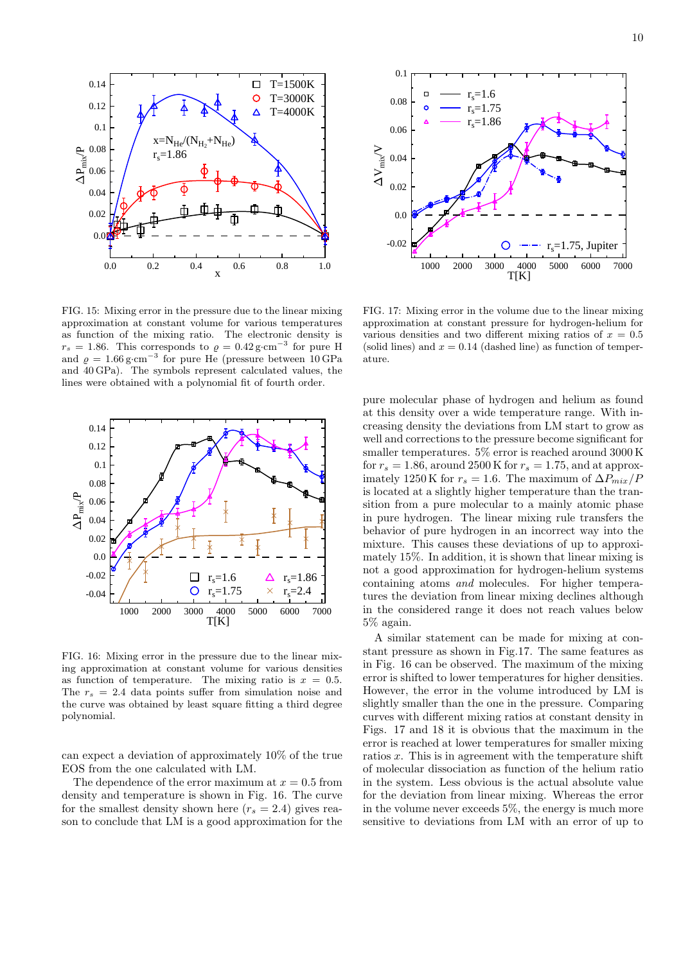

FIG. 15: Mixing error in the pressure due to the linear mixing approximation at constant volume for various temperatures as function of the mixing ratio. The electronic density is  $r_s = 1.86$ . This corresponds to  $\varrho = 0.42 \,\text{g} \cdot \text{cm}^{-3}$  for pure H and  $\rho = 1.66 \text{ g} \cdot \text{cm}^{-3}$  for pure He (pressure between 10 GPa and 40 GPa). The symbols represent calculated values, the lines were obtained with a polynomial fit of fourth order.



FIG. 16: Mixing error in the pressure due to the linear mixing approximation at constant volume for various densities as function of temperature. The mixing ratio is  $x = 0.5$ . The  $r_s = 2.4$  data points suffer from simulation noise and the curve was obtained by least square fitting a third degree polynomial.

can expect a deviation of approximately 10% of the true EOS from the one calculated with LM.

The dependence of the error maximum at  $x = 0.5$  from density and temperature is shown in Fig. 16. The curve for the smallest density shown here  $(r_s = 2.4)$  gives reason to conclude that LM is a good approximation for the



FIG. 17: Mixing error in the volume due to the linear mixing approximation at constant pressure for hydrogen-helium for various densities and two different mixing ratios of  $x = 0.5$ (solid lines) and  $x = 0.14$  (dashed line) as function of temperature.

pure molecular phase of hydrogen and helium as found at this density over a wide temperature range. With increasing density the deviations from LM start to grow as well and corrections to the pressure become significant for smaller temperatures. 5% error is reached around 3000 K for  $r_s = 1.86$ , around 2500 K for  $r_s = 1.75$ , and at approximately 1250 K for  $r_s = 1.6$ . The maximum of  $\Delta P_{mix}/P$ is located at a slightly higher temperature than the transition from a pure molecular to a mainly atomic phase in pure hydrogen. The linear mixing rule transfers the behavior of pure hydrogen in an incorrect way into the mixture. This causes these deviations of up to approximately 15%. In addition, it is shown that linear mixing is not a good approximation for hydrogen-helium systems containing atoms and molecules. For higher temperatures the deviation from linear mixing declines although in the considered range it does not reach values below 5% again.

A similar statement can be made for mixing at constant pressure as shown in Fig.17. The same features as in Fig. 16 can be observed. The maximum of the mixing error is shifted to lower temperatures for higher densities. However, the error in the volume introduced by LM is slightly smaller than the one in the pressure. Comparing curves with different mixing ratios at constant density in Figs. 17 and 18 it is obvious that the maximum in the error is reached at lower temperatures for smaller mixing ratios  $x$ . This is in agreement with the temperature shift of molecular dissociation as function of the helium ratio in the system. Less obvious is the actual absolute value for the deviation from linear mixing. Whereas the error in the volume never exceeds 5%, the energy is much more sensitive to deviations from LM with an error of up to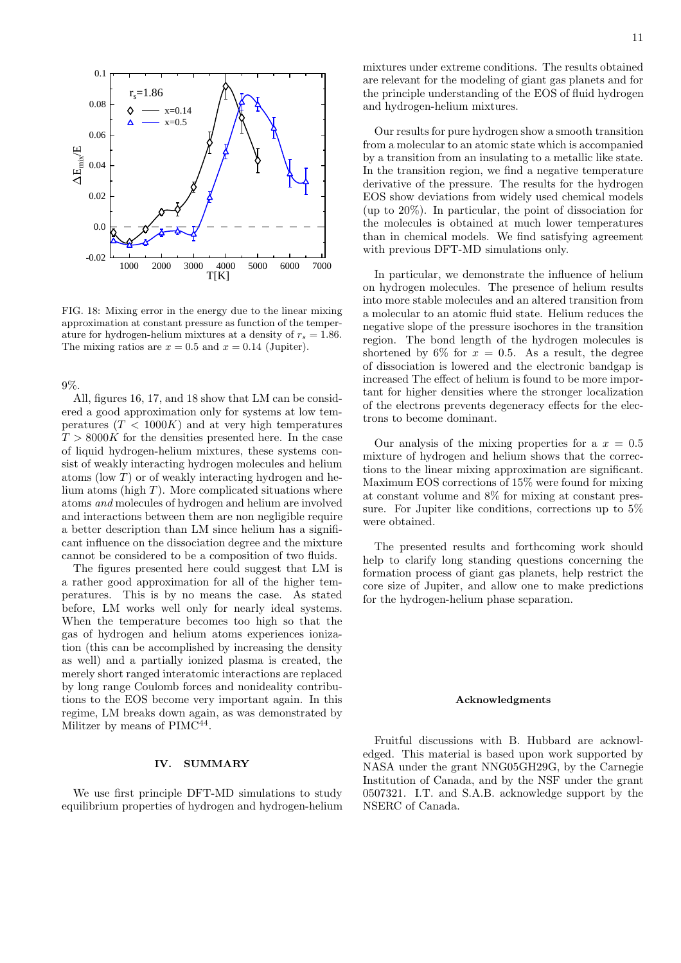

FIG. 18: Mixing error in the energy due to the linear mixing approximation at constant pressure as function of the temperature for hydrogen-helium mixtures at a density of  $r_s = 1.86$ . The mixing ratios are  $x = 0.5$  and  $x = 0.14$  (Jupiter).

9%.

All, figures 16, 17, and 18 show that LM can be considered a good approximation only for systems at low temperatures  $(T < 1000K)$  and at very high temperatures  $T > 8000K$  for the densities presented here. In the case of liquid hydrogen-helium mixtures, these systems consist of weakly interacting hydrogen molecules and helium atoms (low  $T$ ) or of weakly interacting hydrogen and helium atoms (high  $T$ ). More complicated situations where atoms and molecules of hydrogen and helium are involved and interactions between them are non negligible require a better description than LM since helium has a significant influence on the dissociation degree and the mixture cannot be considered to be a composition of two fluids.

The figures presented here could suggest that LM is a rather good approximation for all of the higher temperatures. This is by no means the case. As stated before, LM works well only for nearly ideal systems. When the temperature becomes too high so that the gas of hydrogen and helium atoms experiences ionization (this can be accomplished by increasing the density as well) and a partially ionized plasma is created, the merely short ranged interatomic interactions are replaced by long range Coulomb forces and nonideality contributions to the EOS become very important again. In this regime, LM breaks down again, as was demonstrated by Militzer by means of PIMC<sup>44</sup>.

## IV. SUMMARY

We use first principle DFT-MD simulations to study equilibrium properties of hydrogen and hydrogen-helium mixtures under extreme conditions. The results obtained are relevant for the modeling of giant gas planets and for the principle understanding of the EOS of fluid hydrogen and hydrogen-helium mixtures.

Our results for pure hydrogen show a smooth transition from a molecular to an atomic state which is accompanied by a transition from an insulating to a metallic like state. In the transition region, we find a negative temperature derivative of the pressure. The results for the hydrogen EOS show deviations from widely used chemical models (up to 20%). In particular, the point of dissociation for the molecules is obtained at much lower temperatures than in chemical models. We find satisfying agreement with previous DFT-MD simulations only.

In particular, we demonstrate the influence of helium on hydrogen molecules. The presence of helium results into more stable molecules and an altered transition from a molecular to an atomic fluid state. Helium reduces the negative slope of the pressure isochores in the transition region. The bond length of the hydrogen molecules is shortened by 6% for  $x = 0.5$ . As a result, the degree of dissociation is lowered and the electronic bandgap is increased The effect of helium is found to be more important for higher densities where the stronger localization of the electrons prevents degeneracy effects for the electrons to become dominant.

Our analysis of the mixing properties for a  $x = 0.5$ mixture of hydrogen and helium shows that the corrections to the linear mixing approximation are significant. Maximum EOS corrections of 15% were found for mixing at constant volume and 8% for mixing at constant pressure. For Jupiter like conditions, corrections up to 5% were obtained.

The presented results and forthcoming work should help to clarify long standing questions concerning the formation process of giant gas planets, help restrict the core size of Jupiter, and allow one to make predictions for the hydrogen-helium phase separation.

## Acknowledgments

Fruitful discussions with B. Hubbard are acknowledged. This material is based upon work supported by NASA under the grant NNG05GH29G, by the Carnegie Institution of Canada, and by the NSF under the grant 0507321. I.T. and S.A.B. acknowledge support by the NSERC of Canada.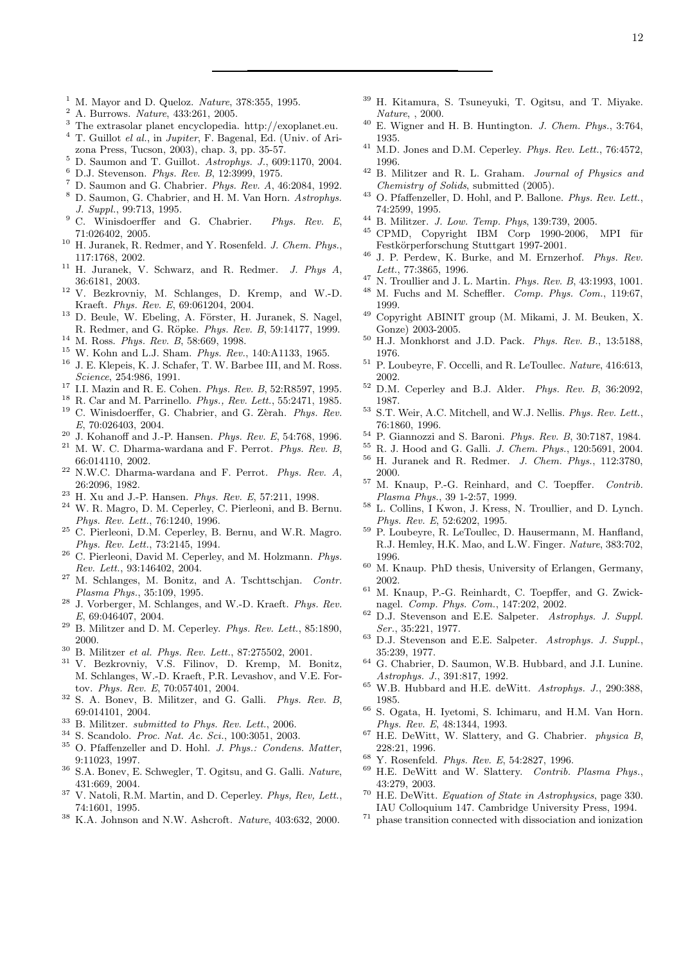- $1$  M. Mayor and D. Queloz. Nature, 378:355, 1995.
- <sup>2</sup> A. Burrows. Nature, 433:261, 2005.
- <sup>3</sup> The extrasolar planet encyclopedia. http://exoplanet.eu.
- $4$  T. Guillot el al., in Jupiter, F. Bagenal, Ed. (Univ. of Arizona Press, Tucson, 2003), chap. 3, pp. 35-57.
- <sup>5</sup> D. Saumon and T. Guillot. Astrophys. J., 609:1170, 2004.
- <sup>6</sup> D.J. Stevenson. Phys. Rev. B, 12:3999, 1975.
- $^7$  D. Saumon and G. Chabrier. Phys. Rev. A, 46:2084, 1992.
- <sup>8</sup> D. Saumon, G. Chabrier, and H. M. Van Horn. Astrophys. J. Suppl., 99:713, 1995.
- <sup>9</sup> C. Winisdoerffer and G. Chabrier. Phys. Rev. E, 71:026402, 2005.
- <sup>10</sup> H. Juranek, R. Redmer, and Y. Rosenfeld. *J. Chem. Phys.*, 117:1768, 2002.
- <sup>11</sup> H. Juranek, V. Schwarz, and R. Redmer. J. Phys A, 36:6181, 2003.
- <sup>12</sup> V. Bezkrovniy, M. Schlanges, D. Kremp, and W.-D. Kraeft. Phys. Rev. E, 69:061204, 2004.
- $13$  D. Beule, W. Ebeling, A. Förster, H. Juranek, S. Nagel, R. Redmer, and G. Röpke. Phys. Rev. B, 59:14177, 1999.
- <sup>14</sup> M. Ross. *Phys. Rev. B*, 58:669, 1998.
- <sup>15</sup> W. Kohn and L.J. Sham. Phys. Rev., 140:A1133, 1965.
- $^{16}\,$  J. E. Klepeis, K. J. Schafer, T. W. Barbee III, and M. Ross. Science, 254:986, 1991.
- $^{17}$  I.I. Mazin and R. E. Cohen. Phys. Rev. B, 52:R8597, 1995.
- <sup>18</sup> R. Car and M. Parrinello. Phys., Rev. Lett., 55:2471, 1985.
- $19$  C. Winisdoerffer, G. Chabrier, and G. Zèrah. Phys. Rev. E, 70:026403, 2004.
- <sup>20</sup> J. Kohanoff and J.-P. Hansen. *Phys. Rev. E*, 54:768, 1996.  $^{21}$  M. W. C. Dharma-wardana and F. Perrot.  $\emph{Phys. Rev. B},$ 66:014110, 2002.
- $22$  N.W.C. Dharma-wardana and F. Perrot. Phys. Rev. A, 26:2096, 1982.
- <sup>23</sup> H. Xu and J.-P. Hansen. *Phys. Rev. E*, 57:211, 1998.
- W. R. Magro, D. M. Ceperley, C. Pierleoni, and B. Bernu. Phys. Rev. Lett., 76:1240, 1996.
- <sup>25</sup> C. Pierleoni, D.M. Ceperley, B. Bernu, and W.R. Magro. Phys. Rev. Lett., 73:2145, 1994.
- <sup>26</sup> C. Pierleoni, David M. Ceperley, and M. Holzmann. Phys. Rev. Lett., 93:146402, 2004.
- <sup>27</sup> M. Schlanges, M. Bonitz, and A. Tschttschjan. Contr. Plasma Phys., 35:109, 1995.
- <sup>28</sup> J. Vorberger, M. Schlanges, and W.-D. Kraeft. Phys. Rev. E, 69:046407, 2004.
- $^{29}$  B. Militzer and D. M. Ceperley.  $Phys. \; Rev. \; Lett., \; 85:1890,$ 2000.
- <sup>30</sup> B. Militzer *et al. Phys. Rev. Lett.*, 87:275502, 2001.
- <sup>31</sup> V. Bezkrovniy, V.S. Filinov, D. Kremp, M. Bonitz, M. Schlanges, W.-D. Kraeft, P.R. Levashov, and V.E. Fortov. Phys. Rev. E, 70:057401, 2004.
- <sup>32</sup> S. A. Bonev, B. Militzer, and G. Galli. Phys. Rev. B, 69:014101, 2004.
- $33$  B. Militzer. submitted to Phys. Rev. Lett., 2006.
- <sup>34</sup> S. Scandolo. Proc. Nat. Ac. Sci., 100:3051, 2003.
- $^{35}$  O. Pfaffenzeller and D. Hohl. J. Phys.: Condens. Matter, 9:11023, 1997.
- <sup>36</sup> S.A. Bonev, E. Schwegler, T. Ogitsu, and G. Galli. Nature, 431:669, 2004.
- <sup>37</sup> V. Natoli, R.M. Martin, and D. Ceperley. Phys, Rev, Lett., 74:1601, 1995.
- $^{38}$  K.A. Johnson and N.W. Ashcroft. Nature, 403:632, 2000.
- <sup>39</sup> H. Kitamura, S. Tsuneyuki, T. Ogitsu, and T. Miyake. Nature, , 2000.
- $40$  E. Wigner and H. B. Huntington. J. Chem. Phys., 3:764, 1935.
- $41$  M.D. Jones and D.M. Ceperley. Phys. Rev. Lett., 76:4572, 1996.
- $42$  B. Militzer and R. L. Graham. *Journal of Physics and* Chemistry of Solids, submitted (2005).
- $^{43}$  O. Pfaffenzeller, D. Hohl, and P. Ballone. *Phys. Rev. Lett.*, 74:2599, 1995.
- <sup>44</sup> B. Militzer. J. Low. Temp. Phys, 139:739, 2005.
- $45$  CPMD, Copyright IBM Corp 1990-2006, MPI für Festkörperforschung Stuttgart 1997-2001.
- <sup>46</sup> J. P. Perdew, K. Burke, and M. Ernzerhof. Phys. Rev. Lett., 77:3865, 1996.
- $^{47}$  N. Troullier and J. L. Martin. *Phys. Rev. B*, 43:1993, 1001.
- <sup>48</sup> M. Fuchs and M. Scheffler. Comp. Phys. Com., 119:67, 1999.
- <sup>49</sup> Copyright ABINIT group (M. Mikami, J. M. Beuken, X. Gonze) 2003-2005.
- $50$  H.J. Monkhorst and J.D. Pack. Phys. Rev. B., 13:5188, 1976.
- $^{51}$  P. Loubeyre, F. Occelli, and R. LeToullec. Nature, 416:613, 2002.
- <sup>52</sup> D.M. Ceperley and B.J. Alder. Phys. Rev. B, 36:2092, 1987.
- <sup>53</sup> S.T. Weir, A.C. Mitchell, and W.J. Nellis. Phys. Rev. Lett., 76:1860, 1996.
- $54$  P. Giannozzi and S. Baroni. *Phys. Rev. B*, 30:7187, 1984.
- <sup>55</sup> R. J. Hood and G. Galli. J. Chem. Phys., 120:5691, 2004.
- <sup>56</sup> H. Juranek and R. Redmer. J. Chem. Phys., 112:3780, 2000.
- $57$  M. Knaup, P.-G. Reinhard, and C. Toepffer. Contrib. Plasma Phys., 39 1-2:57, 1999.
- <sup>58</sup> L. Collins, I Kwon, J. Kress, N. Troullier, and D. Lynch. Phys. Rev. E, 52:6202, 1995.
- <sup>59</sup> P. Loubeyre, R. LeToullec, D. Hausermann, M. Hanfland, R.J. Hemley, H.K. Mao, and L.W. Finger. Nature, 383:702, 1996.
- <sup>60</sup> M. Knaup. PhD thesis, University of Erlangen, Germany, 2002.
- <sup>61</sup> M. Knaup, P.-G. Reinhardt, C. Toepffer, and G. Zwicknagel. Comp. Phys. Com., 147:202, 2002.
- $62$  D.J. Stevenson and E.E. Salpeter. Astrophys. J. Suppl. Ser., 35:221, 1977.
- <sup>63</sup> D.J. Stevenson and E.E. Salpeter. Astrophys. J. Suppl., 35:239, 1977.
- <sup>64</sup> G. Chabrier, D. Saumon, W.B. Hubbard, and J.I. Lunine. Astrophys. J., 391:817, 1992.
- $^{65}$  W.B. Hubbard and H.E. deWitt. Astrophys. J., 290:388, 1985.
- <sup>66</sup> S. Ogata, H. Iyetomi, S. Ichimaru, and H.M. Van Horn. Phys. Rev. E, 48:1344, 1993.
- $67$  H.E. DeWitt, W. Slattery, and G. Chabrier. *physica B*, 228:21, 1996.
- <sup>68</sup> Y. Rosenfeld. Phys. Rev. E, 54:2827, 1996.
- <sup>69</sup> H.E. DeWitt and W. Slattery. Contrib. Plasma Phys., 43:279, 2003.
- <sup>70</sup> H.E. DeWitt. Equation of State in Astrophysics, page 330. IAU Colloquium 147. Cambridge University Press, 1994.
- <sup>71</sup> phase transition connected with dissociation and ionization